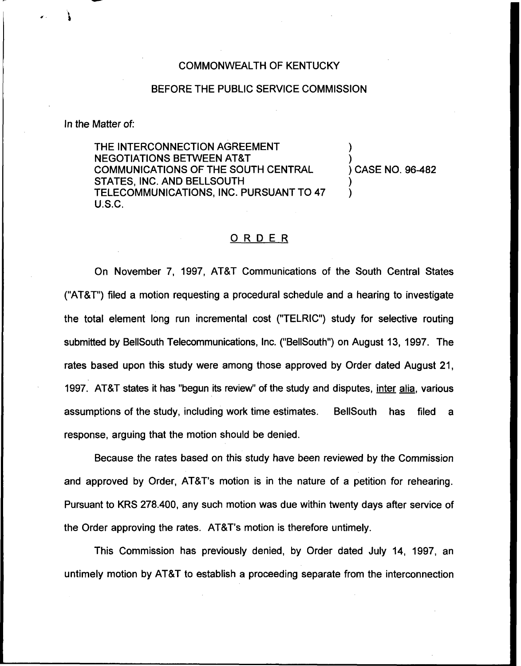#### COMMONWEALTH OF KENTUCKY

### BEFORE THE PUBLIC SERVICE COMMISSION

#### ln the Matter of:

THE INTERCONNECTION AGREEMENT NEGOTIATIONS BETWEEN AT8T COMMUNICATIONS OF THE SOUTH CENTRAL STATES, INC. AND BELLSOUTH TELECOMMUNICATIONS, INC. PURSUANT TO 47 U.S.C.

) ) CASE NO. 96-<mark>4</mark>82

)

) )

## ORDER

On November 7, 1997, AT8T Communications of the South Central States ("AT8T") filed a motion requesting a procedural schedule and a hearing to investigate the total element long run incremental cost ("TELRIC") study for selective routing submitted by BelISouth Telecommunications, Inc. ("BellSouth") on August 13, 1997. The rates based upon this study were among those approved by Order dated August 21, 1997. AT8T states it has "begun its review" of the study and disputes, inter alia, various assumptions of the study, including work time estimates. BellSouth has filed a response, arguing that the motion should be denied.

Because the rates based on this study have been reviewed by the Commission and approved by Order, AT8T's motion is in the nature of a petition for rehearing. Pursuant to KRS 278.400, any such motion was due within twenty days after service of the Order approving the rates. AT8T's motion is therefore untimely.

This Commission has previously denied, by Order dated July 14, 1997, an untimely motion by AT8T to establish a proceeding separate from the interconnection